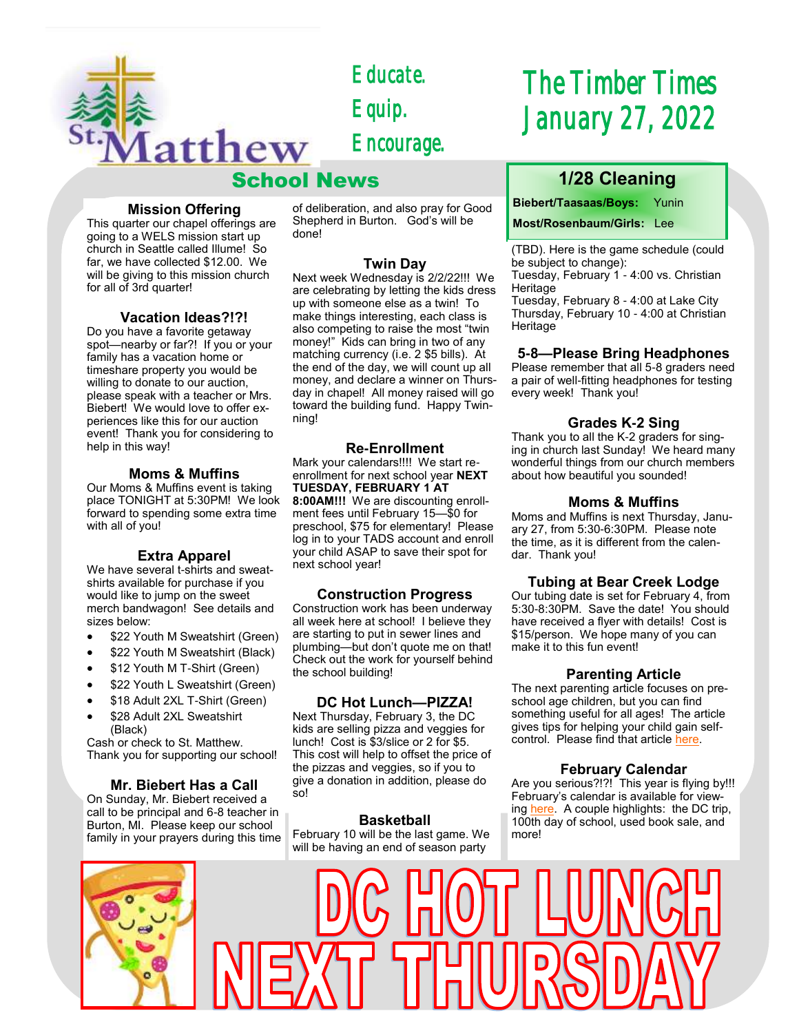

*Educate. Equip. Encourage.* 

# School News

#### **Mission Offering**

This quarter our chapel offerings are going to a WELS mission start up church in Seattle called Illume! So far, we have collected \$12.00. We will be giving to this mission church for all of 3rd quarter!

#### **Vacation Ideas?!?!**

Do you have a favorite getaway spot—nearby or far?! If you or your family has a vacation home or timeshare property you would be willing to donate to our auction, please speak with a teacher or Mrs. Biebert! We would love to offer experiences like this for our auction event! Thank you for considering to help in this way!

#### **Moms & Muffins**

Our Moms & Muffins event is taking place TONIGHT at 5:30PM! We look forward to spending some extra time with all of you!

#### **Extra Apparel**

We have several t-shirts and sweatshirts available for purchase if you would like to jump on the sweet merch bandwagon! See details and sizes below:

- \$22 Youth M Sweatshirt (Green)
- \$22 Youth M Sweatshirt (Black)
- \$12 Youth M T-Shirt (Green)
- \$22 Youth L Sweatshirt (Green)
- \$18 Adult 2XL T-Shirt (Green)
- \$28 Adult 2XL Sweatshirt (Black)

Cash or check to St. Matthew. Thank you for supporting our school!

#### **Mr. Biebert Has a Call**

On Sunday, Mr. Biebert received a call to be principal and 6-8 teacher in Burton, MI. Please keep our school family in your prayers during this time of deliberation, and also pray for Good Shepherd in Burton. God's will be done!

#### **Twin Day**

Next week Wednesday is 2/2/22!!! We are celebrating by letting the kids dress up with someone else as a twin! To make things interesting, each class is also competing to raise the most "twin money!" Kids can bring in two of any matching currency (i.e. 2 \$5 bills). At the end of the day, we will count up all money, and declare a winner on Thursday in chapel! All money raised will go toward the building fund. Happy Twinning!

#### **Re-Enrollment**

Mark your calendars!!!! We start reenrollment for next school year **NEXT TUESDAY, FEBRUARY 1 AT 8:00AM!!!** We are discounting enrollment fees until February 15—\$0 for preschool, \$75 for elementary! Please log in to your TADS account and enroll your child ASAP to save their spot for next school year!

#### **Construction Progress**

Construction work has been underway all week here at school! I believe they are starting to put in sewer lines and plumbing—but don't quote me on that! Check out the work for yourself behind the school building!

#### **DC Hot Lunch—PIZZA!**

Next Thursday, February 3, the DC kids are selling pizza and veggies for lunch! Cost is \$3/slice or 2 for \$5. This cost will help to offset the price of the pizzas and veggies, so if you to give a donation in addition, please do so!

#### **Basketball**

February 10 will be the last game. We will be having an end of season party

# *The Timber Times January 27, 2022*

# **1/28 Cleaning**

**Biebert/Taasaas/Boys:** Yunin

#### **Most/Rosenbaum/Girls:** Lee

(TBD). Here is the game schedule (could be subject to change):

Tuesday, February 1 - 4:00 vs. Christian Heritage

Tuesday, February 8 - 4:00 at Lake City Thursday, February 10 - 4:00 at Christian Heritage

#### **5-8—Please Bring Headphones**

Please remember that all 5-8 graders need a pair of well-fitting headphones for testing every week! Thank you!

#### **Grades K-2 Sing**

Thank you to all the K-2 graders for singing in church last Sunday! We heard many wonderful things from our church members about how beautiful you sounded!

#### **Moms & Muffins**

Moms and Muffins is next Thursday, January 27, from 5:30-6:30PM. Please note the time, as it is different from the calendar. Thank you!

#### **Tubing at Bear Creek Lodge**

Our tubing date is set for February 4, from 5:30-8:30PM. Save the date! You should have received a flyer with details! Cost is \$15/person. We hope many of you can make it to this fun event!

#### **Parenting Article**

The next parenting article focuses on preschool age children, but you can find something useful for all ages! The article gives tips for helping your child gain selfcontrol. Please find that article [here.](https://www.naeyc.org/our-work/families/help-your-preschooler-gain-self-control)

#### **February Calendar**

Are you serious?!?! This year is flying by!!! February's calendar is available for viewing [here.](https://school.stmatthewspokane.org/calendars.html) A couple highlights: the DC trip, 100th day of school, used book sale, and more!

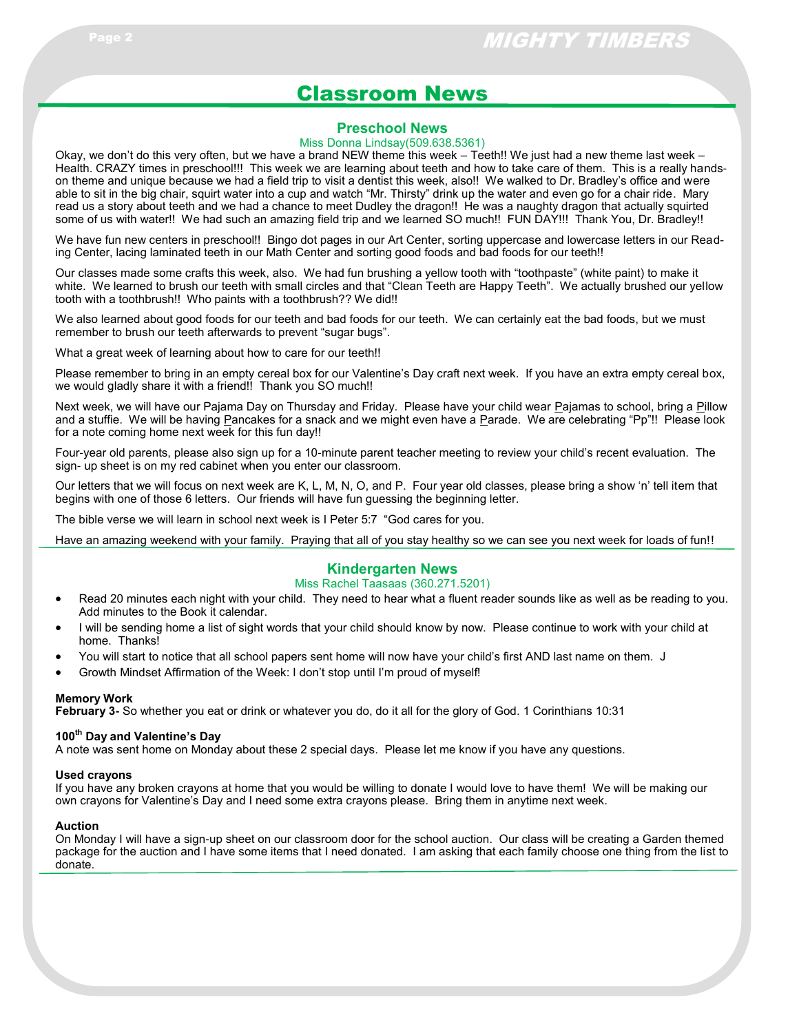# Classroom News

#### **Preschool News**

#### Miss Donna Lindsay(509.638.5361)

Okay, we don't do this very often, but we have a brand NEW theme this week – Teeth!! We just had a new theme last week – Health. CRAZY times in preschool!!! This week we are learning about teeth and how to take care of them. This is a really handson theme and unique because we had a field trip to visit a dentist this week, also!! We walked to Dr. Bradley's office and were able to sit in the big chair, squirt water into a cup and watch "Mr. Thirsty" drink up the water and even go for a chair ride. Mary read us a story about teeth and we had a chance to meet Dudley the dragon!! He was a naughty dragon that actually squirted some of us with water!! We had such an amazing field trip and we learned SO much!! FUN DAY!!! Thank You, Dr. Bradley!!

We have fun new centers in preschool!! Bingo dot pages in our Art Center, sorting uppercase and lowercase letters in our Reading Center, lacing laminated teeth in our Math Center and sorting good foods and bad foods for our teeth!!

Our classes made some crafts this week, also. We had fun brushing a yellow tooth with "toothpaste" (white paint) to make it white. We learned to brush our teeth with small circles and that "Clean Teeth are Happy Teeth". We actually brushed our yellow tooth with a toothbrush!! Who paints with a toothbrush?? We did!!

We also learned about good foods for our teeth and bad foods for our teeth. We can certainly eat the bad foods, but we must remember to brush our teeth afterwards to prevent "sugar bugs".

What a great week of learning about how to care for our teeth!!

Please remember to bring in an empty cereal box for our Valentine's Day craft next week. If you have an extra empty cereal box, we would gladly share it with a friend!! Thank you SO much!!

Next week, we will have our Pajama Day on Thursday and Friday. Please have your child wear Pajamas to school, bring a Pillow and a stuffie. We will be having Pancakes for a snack and we might even have a Parade. We are celebrating "Pp"!! Please look for a note coming home next week for this fun day!!

Four-year old parents, please also sign up for a 10-minute parent teacher meeting to review your child's recent evaluation. The sign- up sheet is on my red cabinet when you enter our classroom.

Our letters that we will focus on next week are K, L, M, N, O, and P. Four year old classes, please bring a show 'n' tell item that begins with one of those 6 letters. Our friends will have fun guessing the beginning letter.

The bible verse we will learn in school next week is I Peter 5:7 "God cares for you.

Have an amazing weekend with your family. Praying that all of you stay healthy so we can see you next week for loads of fun!!

#### **Kindergarten News**

#### Miss Rachel Taasaas (360.271.5201)

- Read 20 minutes each night with your child. They need to hear what a fluent reader sounds like as well as be reading to you. Add minutes to the Book it calendar.
- I will be sending home a list of sight words that your child should know by now. Please continue to work with your child at home. Thanks!
- You will start to notice that all school papers sent home will now have your child's first AND last name on them. J
- Growth Mindset Affirmation of the Week: I don't stop until I'm proud of myself!

#### **Memory Work**

**February 3-** So whether you eat or drink or whatever you do, do it all for the glory of God. 1 Corinthians 10:31

#### **100th Day and Valentine's Day**

A note was sent home on Monday about these 2 special days. Please let me know if you have any questions.

#### **Used crayons**

If you have any broken crayons at home that you would be willing to donate I would love to have them! We will be making our own crayons for Valentine's Day and I need some extra crayons please. Bring them in anytime next week.

#### **Auction**

On Monday I will have a sign-up sheet on our classroom door for the school auction. Our class will be creating a Garden themed package for the auction and I have some items that I need donated. I am asking that each family choose one thing from the list to donate.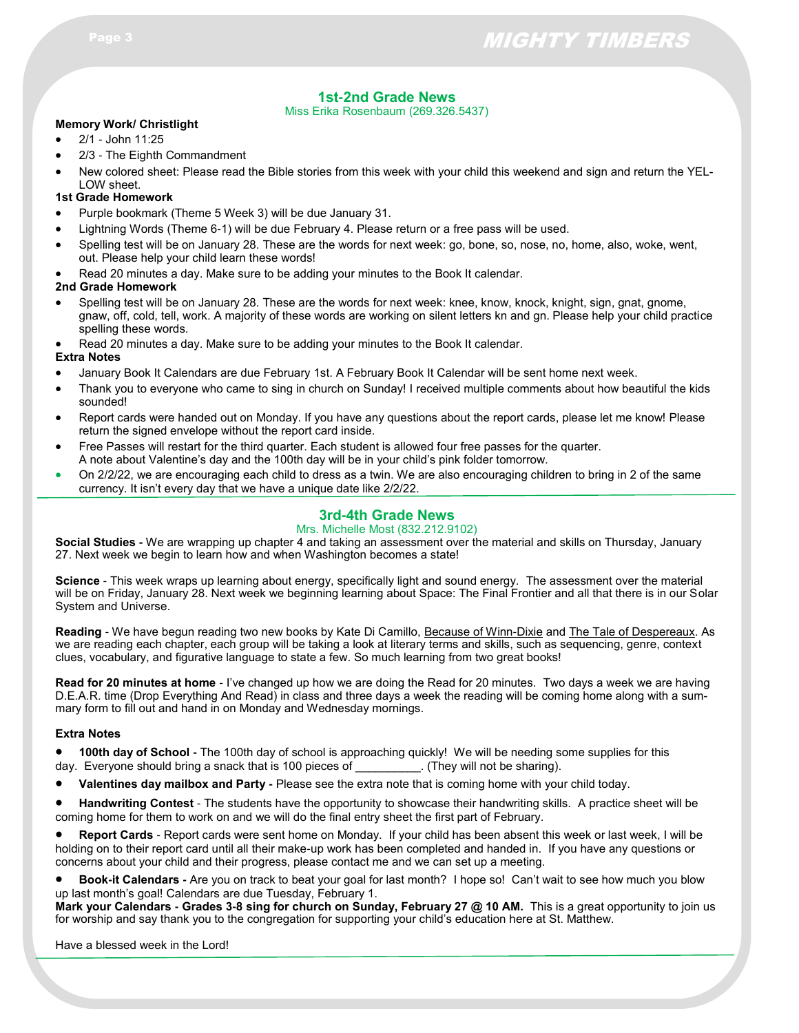### **1st-2nd Grade News**

Miss Erika Rosenbaum (269.326.5437)

#### **Memory Work/ Christlight**

- 2/1 John 11:25
- 2/3 The Eighth Commandment
- New colored sheet: Please read the Bible stories from this week with your child this weekend and sign and return the YEL-LOW sheet.

#### **1st Grade Homework**

- Purple bookmark (Theme 5 Week 3) will be due January 31.
- Lightning Words (Theme 6-1) will be due February 4. Please return or a free pass will be used.
- Spelling test will be on January 28. These are the words for next week: go, bone, so, nose, no, home, also, woke, went, out. Please help your child learn these words!
- Read 20 minutes a day. Make sure to be adding your minutes to the Book It calendar.

#### **2nd Grade Homework**

- Spelling test will be on January 28. These are the words for next week: knee, know, knock, knight, sign, gnat, gnome, gnaw, off, cold, tell, work. A majority of these words are working on silent letters kn and gn. Please help your child practice spelling these words.
- Read 20 minutes a day. Make sure to be adding your minutes to the Book It calendar.

#### **Extra Notes**

- January Book It Calendars are due February 1st. A February Book It Calendar will be sent home next week.
- Thank you to everyone who came to sing in church on Sunday! I received multiple comments about how beautiful the kids sounded!
- Report cards were handed out on Monday. If you have any questions about the report cards, please let me know! Please return the signed envelope without the report card inside.
- Free Passes will restart for the third quarter. Each student is allowed four free passes for the quarter. A note about Valentine's day and the 100th day will be in your child's pink folder tomorrow.
- On 2/2/22, we are encouraging each child to dress as a twin. We are also encouraging children to bring in 2 of the same currency. It isn't every day that we have a unique date like 2/2/22.

#### **3rd-4th Grade News**

#### Mrs. Michelle Most (832.212.9102)

**Social Studies -** We are wrapping up chapter 4 and taking an assessment over the material and skills on Thursday, January 27. Next week we begin to learn how and when Washington becomes a state!

**Science** - This week wraps up learning about energy, specifically light and sound energy. The assessment over the material will be on Friday, January 28. Next week we beginning learning about Space: The Final Frontier and all that there is in our Solar System and Universe.

**Reading** - We have begun reading two new books by Kate Di Camillo, Because of Winn-Dixie and The Tale of Despereaux. As we are reading each chapter, each group will be taking a look at literary terms and skills, such as sequencing, genre, context clues, vocabulary, and figurative language to state a few. So much learning from two great books!

**Read for 20 minutes at home** - I've changed up how we are doing the Read for 20 minutes. Two days a week we are having D.E.A.R. time (Drop Everything And Read) in class and three days a week the reading will be coming home along with a summary form to fill out and hand in on Monday and Wednesday mornings.

#### **Extra Notes**

 **100th day of School -** The 100th day of school is approaching quickly! We will be needing some supplies for this day. Everyone should bring a snack that is 100 pieces of \_\_\_\_\_\_\_\_\_\_. (They will not be sharing).

- **Valentines day mailbox and Party -** Please see the extra note that is coming home with your child today.
- **Handwriting Contest** The students have the opportunity to showcase their handwriting skills. A practice sheet will be coming home for them to work on and we will do the final entry sheet the first part of February.

 **Report Cards** - Report cards were sent home on Monday. If your child has been absent this week or last week, I will be holding on to their report card until all their make-up work has been completed and handed in. If you have any questions or concerns about your child and their progress, please contact me and we can set up a meeting.

 **Book-it Calendars -** Are you on track to beat your goal for last month? I hope so! Can't wait to see how much you blow up last month's goal! Calendars are due Tuesday, February 1.

**Mark your Calendars - Grades 3-8 sing for church on Sunday, February 27 @ 10 AM.** This is a great opportunity to join us for worship and say thank you to the congregation for supporting your child's education here at St. Matthew.

Have a blessed week in the Lord!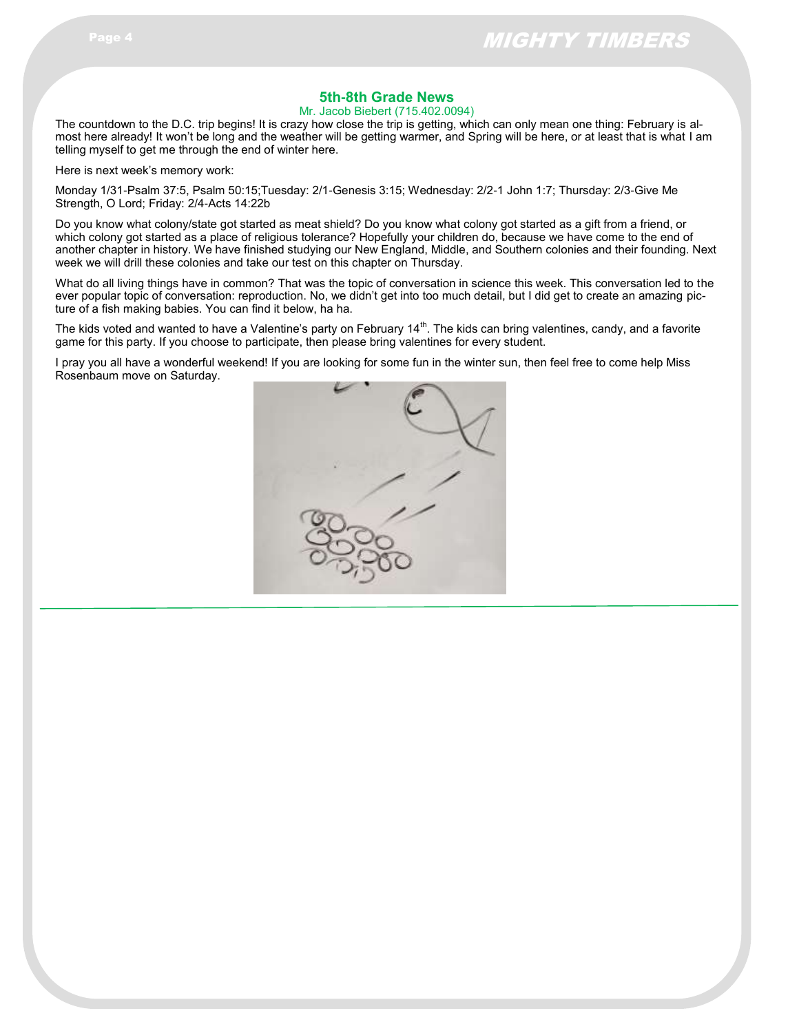#### **5th-8th Grade News**

Mr. Jacob Biebert (715.402.0094)

The countdown to the D.C. trip begins! It is crazy how close the trip is getting, which can only mean one thing: February is almost here already! It won't be long and the weather will be getting warmer, and Spring will be here, or at least that is what I am telling myself to get me through the end of winter here.

Here is next week's memory work:

Monday 1/31-Psalm 37:5, Psalm 50:15;Tuesday: 2/1-Genesis 3:15; Wednesday: 2/2-1 John 1:7; Thursday: 2/3-Give Me Strength, O Lord; Friday: 2/4-Acts 14:22b

Do you know what colony/state got started as meat shield? Do you know what colony got started as a gift from a friend, or which colony got started as a place of religious tolerance? Hopefully your children do, because we have come to the end of another chapter in history. We have finished studying our New England, Middle, and Southern colonies and their founding. Next week we will drill these colonies and take our test on this chapter on Thursday.

What do all living things have in common? That was the topic of conversation in science this week. This conversation led to the ever popular topic of conversation: reproduction. No, we didn't get into too much detail, but I did get to create an amazing picture of a fish making babies. You can find it below, ha ha.

The kids voted and wanted to have a Valentine's party on February 14<sup>th</sup>. The kids can bring valentines, candy, and a favorite game for this party. If you choose to participate, then please bring valentines for every student.

I pray you all have a wonderful weekend! If you are looking for some fun in the winter sun, then feel free to come help Miss Rosenbaum move on Saturday.